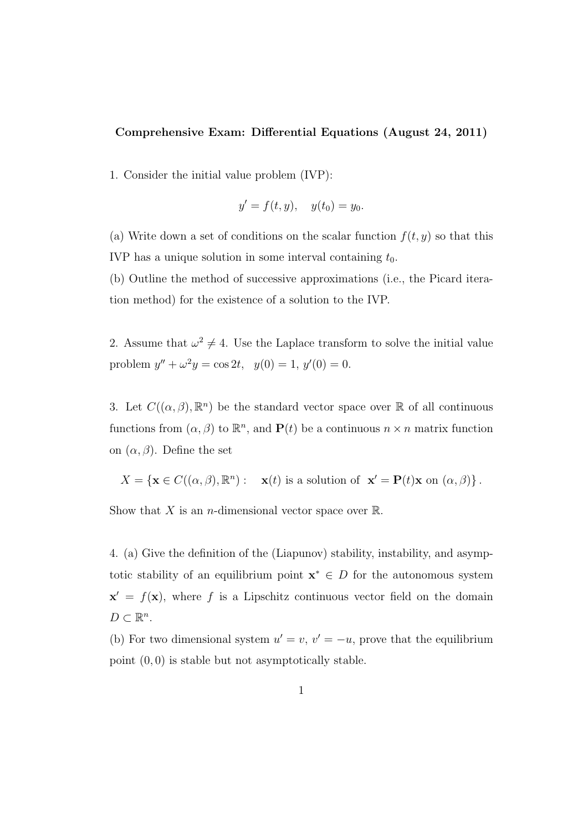## Comprehensive Exam: Differential Equations (August 24, 2011)

1. Consider the initial value problem (IVP):

$$
y' = f(t, y), \quad y(t_0) = y_0.
$$

(a) Write down a set of conditions on the scalar function  $f(t, y)$  so that this IVP has a unique solution in some interval containing  $t_0$ .

(b) Outline the method of successive approximations (i.e., the Picard iteration method) for the existence of a solution to the IVP.

2. Assume that  $\omega^2 \neq 4$ . Use the Laplace transform to solve the initial value problem  $y'' + \omega^2 y = \cos 2t$ ,  $y(0) = 1$ ,  $y'(0) = 0$ .

3. Let  $C((\alpha, \beta), \mathbb{R}^n)$  be the standard vector space over  $\mathbb R$  of all continuous functions from  $(\alpha, \beta)$  to  $\mathbb{R}^n$ , and  $\mathbf{P}(t)$  be a continuous  $n \times n$  matrix function on  $(\alpha, \beta)$ . Define the set

$$
X = \{ \mathbf{x} \in C((\alpha, \beta), \mathbb{R}^n) : \mathbf{x}(t) \text{ is a solution of } \mathbf{x}' = \mathbf{P}(t)\mathbf{x} \text{ on } (\alpha, \beta) \}.
$$

Show that X is an *n*-dimensional vector space over  $\mathbb{R}$ .

4. (a) Give the definition of the (Liapunov) stability, instability, and asymptotic stability of an equilibrium point  $\mathbf{x}^* \in D$  for the autonomous system  $\mathbf{x}' = f(\mathbf{x})$ , where f is a Lipschitz continuous vector field on the domain  $D \subset \mathbb{R}^n$ .

(b) For two dimensional system  $u' = v$ ,  $v' = -u$ , prove that the equilibrium point  $(0, 0)$  is stable but not asymptotically stable.